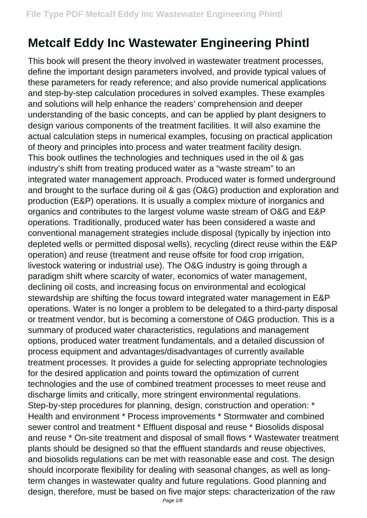## **Metcalf Eddy Inc Wastewater Engineering Phintl**

This book will present the theory involved in wastewater treatment processes, define the important design parameters involved, and provide typical values of these parameters for ready reference; and also provide numerical applications and step-by-step calculation procedures in solved examples. These examples and solutions will help enhance the readers' comprehension and deeper understanding of the basic concepts, and can be applied by plant designers to design various components of the treatment facilities. It will also examine the actual calculation steps in numerical examples, focusing on practical application of theory and principles into process and water treatment facility design. This book outlines the technologies and techniques used in the oil & gas industry's shift from treating produced water as a "waste stream" to an integrated water management approach. Produced water is formed underground and brought to the surface during oil & gas (O&G) production and exploration and production (E&P) operations. It is usually a complex mixture of inorganics and organics and contributes to the largest volume waste stream of O&G and E&P operations. Traditionally, produced water has been considered a waste and conventional management strategies include disposal (typically by injection into depleted wells or permitted disposal wells), recycling (direct reuse within the E&P operation) and reuse (treatment and reuse offsite for food crop irrigation, livestock watering or industrial use). The O&G industry is going through a paradigm shift where scarcity of water, economics of water management, declining oil costs, and increasing focus on environmental and ecological stewardship are shifting the focus toward integrated water management in E&P operations. Water is no longer a problem to be delegated to a third-party disposal or treatment vendor, but is becoming a cornerstone of O&G production. This is a summary of produced water characteristics, regulations and management options, produced water treatment fundamentals, and a detailed discussion of process equipment and advantages/disadvantages of currently available treatment processes. It provides a guide for selecting appropriate technologies for the desired application and points toward the optimization of current technologies and the use of combined treatment processes to meet reuse and discharge limits and critically, more stringent environmental regulations. Step-by-step procedures for planning, design, construction and operation: \* Health and environment \* Process improvements \* Stormwater and combined sewer control and treatment \* Effluent disposal and reuse \* Biosolids disposal and reuse \* On-site treatment and disposal of small flows \* Wastewater treatment plants should be designed so that the effluent standards and reuse objectives, and biosolids regulations can be met with reasonable ease and cost. The design should incorporate flexibility for dealing with seasonal changes, as well as longterm changes in wastewater quality and future regulations. Good planning and design, therefore, must be based on five major steps: characterization of the raw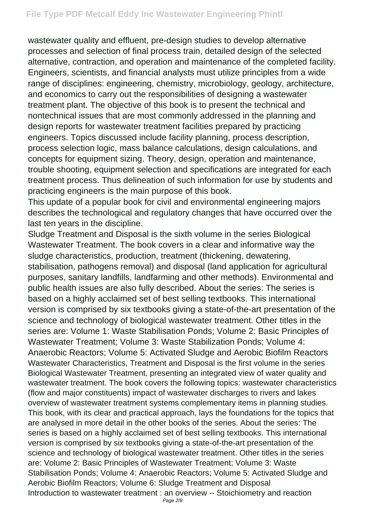wastewater quality and effluent, pre-design studies to develop alternative processes and selection of final process train, detailed design of the selected alternative, contraction, and operation and maintenance of the completed facility. Engineers, scientists, and financial analysts must utilize principles from a wide range of disciplines: engineering, chemistry, microbiology, geology, architecture, and economics to carry out the responsibilities of designing a wastewater treatment plant. The objective of this book is to present the technical and nontechnical issues that are most commonly addressed in the planning and design reports for wastewater treatment facilities prepared by practicing engineers. Topics discussed include facility planning, process description, process selection logic, mass balance calculations, design calculations, and concepts for equipment sizing. Theory, design, operation and maintenance, trouble shooting, equipment selection and specifications are integrated for each treatment process. Thus delineation of such information for use by students and practicing engineers is the main purpose of this book.

This update of a popular book for civil and environmental engineering majors describes the technological and regulatory changes that have occurred over the last ten years in the discipline.

Sludge Treatment and Disposal is the sixth volume in the series Biological Wastewater Treatment. The book covers in a clear and informative way the sludge characteristics, production, treatment (thickening, dewatering, stabilisation, pathogens removal) and disposal (land application for agricultural purposes, sanitary landfills, landfarming and other methods). Environmental and public health issues are also fully described. About the series: The series is based on a highly acclaimed set of best selling textbooks. This international version is comprised by six textbooks giving a state-of-the-art presentation of the science and technology of biological wastewater treatment. Other titles in the series are: Volume 1: Waste Stabilisation Ponds; Volume 2: Basic Principles of Wastewater Treatment; Volume 3: Waste Stabilization Ponds; Volume 4: Anaerobic Reactors; Volume 5: Activated Sludge and Aerobic Biofilm Reactors Wastewater Characteristics, Treatment and Disposal is the first volume in the series Biological Wastewater Treatment, presenting an integrated view of water quality and wastewater treatment. The book covers the following topics: wastewater characteristics (flow and major constituents) impact of wastewater discharges to rivers and lakes overview of wastewater treatment systems complementary items in planning studies. This book, with its clear and practical approach, lays the foundations for the topics that are analysed in more detail in the other books of the series. About the series: The series is based on a highly acclaimed set of best selling textbooks. This international version is comprised by six textbooks giving a state-of-the-art presentation of the science and technology of biological wastewater treatment. Other titles in the series are: Volume 2: Basic Principles of Wastewater Treatment; Volume 3: Waste Stabilisation Ponds; Volume 4: Anaerobic Reactors; Volume 5: Activated Sludge and Aerobic Biofilm Reactors; Volume 6: Sludge Treatment and Disposal Introduction to wastewater treatment : an overview -- Stoichiometry and reaction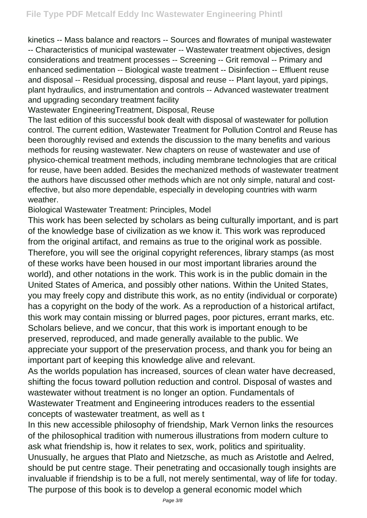kinetics -- Mass balance and reactors -- Sources and flowrates of munipal wastewater -- Characteristics of municipal wastewater -- Wastewater treatment objectives, design considerations and treatment processes -- Screening -- Grit removal -- Primary and enhanced sedimentation -- Biological waste treatment -- Disinfection -- Effluent reuse and disposal -- Residual processing, disposal and reuse -- Plant layout, yard pipings, plant hydraulics, and instrumentation and controls -- Advanced wastewater treatment and upgrading secondary treatment facility

Wastewater EngineeringTreatment, Disposal, Reuse

The last edition of this successful book dealt with disposal of wastewater for pollution control. The current edition, Wastewater Treatment for Pollution Control and Reuse has been thoroughly revised and extends the discussion to the many benefits and various methods for reusing wastewater. New chapters on reuse of wastewater and use of physico-chemical treatment methods, including membrane technologies that are critical for reuse, have been added. Besides the mechanized methods of wastewater treatment the authors have discussed other methods which are not only simple, natural and costeffective, but also more dependable, especially in developing countries with warm weather.

Biological Wastewater Treatment: Principles, Model

This work has been selected by scholars as being culturally important, and is part of the knowledge base of civilization as we know it. This work was reproduced from the original artifact, and remains as true to the original work as possible. Therefore, you will see the original copyright references, library stamps (as most of these works have been housed in our most important libraries around the world), and other notations in the work. This work is in the public domain in the United States of America, and possibly other nations. Within the United States, you may freely copy and distribute this work, as no entity (individual or corporate) has a copyright on the body of the work. As a reproduction of a historical artifact, this work may contain missing or blurred pages, poor pictures, errant marks, etc. Scholars believe, and we concur, that this work is important enough to be preserved, reproduced, and made generally available to the public. We appreciate your support of the preservation process, and thank you for being an important part of keeping this knowledge alive and relevant.

As the worlds population has increased, sources of clean water have decreased, shifting the focus toward pollution reduction and control. Disposal of wastes and wastewater without treatment is no longer an option. Fundamentals of Wastewater Treatment and Engineering introduces readers to the essential concepts of wastewater treatment, as well as t

In this new accessible philosophy of friendship, Mark Vernon links the resources of the philosophical tradition with numerous illustrations from modern culture to ask what friendship is, how it relates to sex, work, politics and spirituality. Unusually, he argues that Plato and Nietzsche, as much as Aristotle and Aelred, should be put centre stage. Their penetrating and occasionally tough insights are invaluable if friendship is to be a full, not merely sentimental, way of life for today. The purpose of this book is to develop a general economic model which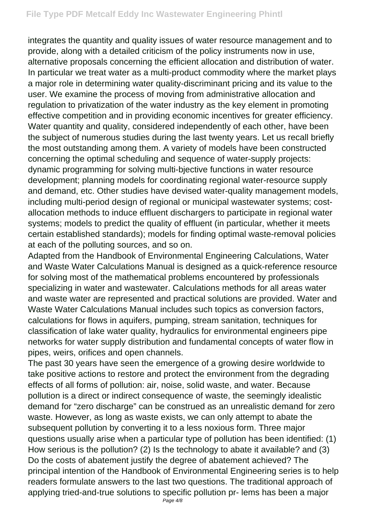## **File Type PDF Metcalf Eddy Inc Wastewater Engineering Phintl**

integrates the quantity and quality issues of water resource management and to provide, along with a detailed criticism of the policy instruments now in use, alternative proposals concerning the efficient allocation and distribution of water. In particular we treat water as a multi-product commodity where the market plays a major role in determining water quality-discriminant pricing and its value to the user. We examine the process of moving from administrative allocation and regulation to privatization of the water industry as the key element in promoting effective competition and in providing economic incentives for greater efficiency. Water quantity and quality, considered independently of each other, have been the subject of numerous studies during the last twenty years. Let us recall briefly the most outstanding among them. A variety of models have been constructed concerning the optimal scheduling and sequence of water-supply projects: dynamic programming for solving multi-bjective functions in water resource development; planning models for coordinating regional water-resource supply and demand, etc. Other studies have devised water-quality management models, including multi-period design of regional or municipal wastewater systems; costallocation methods to induce effluent dischargers to participate in regional water systems; models to predict the quality of effluent (in particular, whether it meets certain established standards); models for finding optimal waste-removal policies at each of the polluting sources, and so on.

Adapted from the Handbook of Environmental Engineering Calculations, Water and Waste Water Calculations Manual is designed as a quick-reference resource for solving most of the mathematical problems encountered by professionals specializing in water and wastewater. Calculations methods for all areas water and waste water are represented and practical solutions are provided. Water and Waste Water Calculations Manual includes such topics as conversion factors, calculations for flows in aquifers, pumping, stream sanitation, techniques for classification of lake water quality, hydraulics for environmental engineers pipe networks for water supply distribution and fundamental concepts of water flow in pipes, weirs, orifices and open channels.

The past 30 years have seen the emergence of a growing desire worldwide to take positive actions to restore and protect the environment from the degrading effects of all forms of pollution: air, noise, solid waste, and water. Because pollution is a direct or indirect consequence of waste, the seemingly idealistic demand for "zero discharge" can be construed as an unrealistic demand for zero waste. However, as long as waste exists, we can only attempt to abate the subsequent pollution by converting it to a less noxious form. Three major questions usually arise when a particular type of pollution has been identified: (1) How serious is the pollution? (2) Is the technology to abate it available? and (3) Do the costs of abatement justify the degree of abatement achieved? The principal intention of the Handbook of Environmental Engineering series is to help readers formulate answers to the last two questions. The traditional approach of applying tried-and-true solutions to specific pollution pr- lems has been a major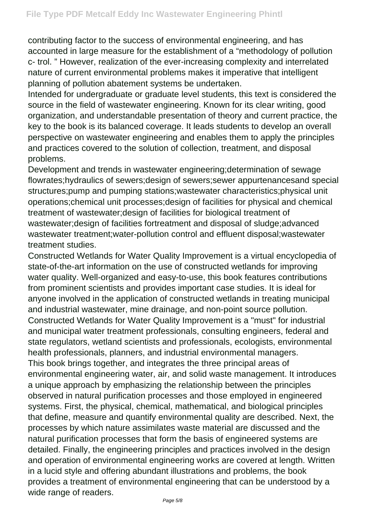contributing factor to the success of environmental engineering, and has accounted in large measure for the establishment of a "methodology of pollution c- trol. " However, realization of the ever-increasing complexity and interrelated nature of current environmental problems makes it imperative that intelligent planning of pollution abatement systems be undertaken.

Intended for undergraduate or graduate level students, this text is considered the source in the field of wastewater engineering. Known for its clear writing, good organization, and understandable presentation of theory and current practice, the key to the book is its balanced coverage. It leads students to develop an overall perspective on wastewater engineering and enables them to apply the principles and practices covered to the solution of collection, treatment, and disposal problems.

Development and trends in wastewater engineering;determination of sewage flowrates;hydraulics of sewers;design of sewers;sewer appurtenancesand special structures;pump and pumping stations;wastewater characteristics;physical unit operations;chemical unit processes;design of facilities for physical and chemical treatment of wastewater;design of facilities for biological treatment of wastewater;design of facilities fortreatment and disposal of sludge;advanced wastewater treatment;water-pollution control and effluent disposal;wastewater treatment studies.

Constructed Wetlands for Water Quality Improvement is a virtual encyclopedia of state-of-the-art information on the use of constructed wetlands for improving water quality. Well-organized and easy-to-use, this book features contributions from prominent scientists and provides important case studies. It is ideal for anyone involved in the application of constructed wetlands in treating municipal and industrial wastewater, mine drainage, and non-point source pollution. Constructed Wetlands for Water Quality Improvement is a "must" for industrial and municipal water treatment professionals, consulting engineers, federal and state regulators, wetland scientists and professionals, ecologists, environmental health professionals, planners, and industrial environmental managers. This book brings together, and integrates the three principal areas of environmental engineering water, air, and solid waste management. It introduces a unique approach by emphasizing the relationship between the principles observed in natural purification processes and those employed in engineered systems. First, the physical, chemical, mathematical, and biological principles that define, measure and quantify environmental quality are described. Next, the processes by which nature assimilates waste material are discussed and the natural purification processes that form the basis of engineered systems are detailed. Finally, the engineering principles and practices involved in the design and operation of environmental engineering works are covered at length. Written in a lucid style and offering abundant illustrations and problems, the book provides a treatment of environmental engineering that can be understood by a wide range of readers.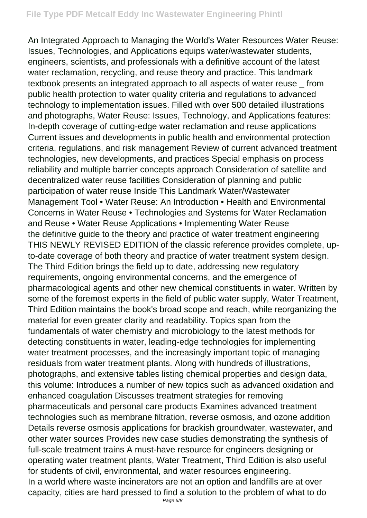An Integrated Approach to Managing the World's Water Resources Water Reuse: Issues, Technologies, and Applications equips water/wastewater students, engineers, scientists, and professionals with a definitive account of the latest water reclamation, recycling, and reuse theory and practice. This landmark textbook presents an integrated approach to all aspects of water reuse \_ from public health protection to water quality criteria and regulations to advanced technology to implementation issues. Filled with over 500 detailed illustrations and photographs, Water Reuse: Issues, Technology, and Applications features: In-depth coverage of cutting-edge water reclamation and reuse applications Current issues and developments in public health and environmental protection criteria, regulations, and risk management Review of current advanced treatment technologies, new developments, and practices Special emphasis on process reliability and multiple barrier concepts approach Consideration of satellite and decentralized water reuse facilities Consideration of planning and public participation of water reuse Inside This Landmark Water/Wastewater Management Tool • Water Reuse: An Introduction • Health and Environmental Concerns in Water Reuse • Technologies and Systems for Water Reclamation and Reuse • Water Reuse Applications • Implementing Water Reuse the definitive guide to the theory and practice of water treatment engineering THIS NEWLY REVISED EDITION of the classic reference provides complete, upto-date coverage of both theory and practice of water treatment system design. The Third Edition brings the field up to date, addressing new regulatory requirements, ongoing environmental concerns, and the emergence of pharmacological agents and other new chemical constituents in water. Written by some of the foremost experts in the field of public water supply, Water Treatment, Third Edition maintains the book's broad scope and reach, while reorganizing the material for even greater clarity and readability. Topics span from the fundamentals of water chemistry and microbiology to the latest methods for detecting constituents in water, leading-edge technologies for implementing water treatment processes, and the increasingly important topic of managing residuals from water treatment plants. Along with hundreds of illustrations, photographs, and extensive tables listing chemical properties and design data, this volume: Introduces a number of new topics such as advanced oxidation and enhanced coagulation Discusses treatment strategies for removing pharmaceuticals and personal care products Examines advanced treatment technologies such as membrane filtration, reverse osmosis, and ozone addition Details reverse osmosis applications for brackish groundwater, wastewater, and other water sources Provides new case studies demonstrating the synthesis of full-scale treatment trains A must-have resource for engineers designing or operating water treatment plants, Water Treatment, Third Edition is also useful for students of civil, environmental, and water resources engineering. In a world where waste incinerators are not an option and landfills are at over capacity, cities are hard pressed to find a solution to the problem of what to do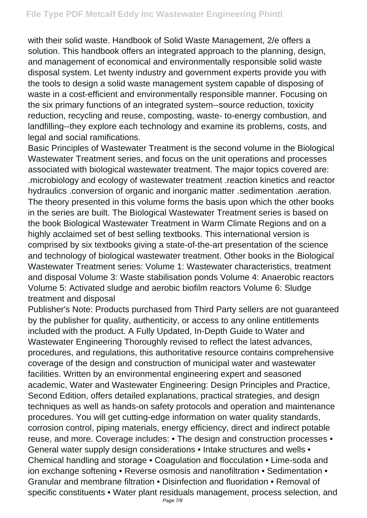with their solid waste. Handbook of Solid Waste Management, 2/e offers a solution. This handbook offers an integrated approach to the planning, design, and management of economical and environmentally responsible solid waste disposal system. Let twenty industry and government experts provide you with the tools to design a solid waste management system capable of disposing of waste in a cost-efficient and environmentally responsible manner. Focusing on the six primary functions of an integrated system--source reduction, toxicity reduction, recycling and reuse, composting, waste- to-energy combustion, and landfilling--they explore each technology and examine its problems, costs, and legal and social ramifications.

Basic Principles of Wastewater Treatment is the second volume in the Biological Wastewater Treatment series, and focus on the unit operations and processes associated with biological wastewater treatment. The major topics covered are: .microbiology and ecology of wastewater treatment .reaction kinetics and reactor hydraulics .conversion of organic and inorganic matter .sedimentation .aeration. The theory presented in this volume forms the basis upon which the other books in the series are built. The Biological Wastewater Treatment series is based on the book Biological Wastewater Treatment in Warm Climate Regions and on a highly acclaimed set of best selling textbooks. This international version is comprised by six textbooks giving a state-of-the-art presentation of the science and technology of biological wastewater treatment. Other books in the Biological Wastewater Treatment series: Volume 1: Wastewater characteristics, treatment and disposal Volume 3: Waste stabilisation ponds Volume 4: Anaerobic reactors Volume 5: Activated sludge and aerobic biofilm reactors Volume 6: Sludge treatment and disposal

Publisher's Note: Products purchased from Third Party sellers are not guaranteed by the publisher for quality, authenticity, or access to any online entitlements included with the product. A Fully Updated, In-Depth Guide to Water and Wastewater Engineering Thoroughly revised to reflect the latest advances, procedures, and regulations, this authoritative resource contains comprehensive coverage of the design and construction of municipal water and wastewater facilities. Written by an environmental engineering expert and seasoned academic, Water and Wastewater Engineering: Design Principles and Practice, Second Edition, offers detailed explanations, practical strategies, and design techniques as well as hands-on safety protocols and operation and maintenance procedures. You will get cutting-edge information on water quality standards, corrosion control, piping materials, energy efficiency, direct and indirect potable reuse, and more. Coverage includes: • The design and construction processes • General water supply design considerations • Intake structures and wells • Chemical handling and storage • Coagulation and flocculation • Lime-soda and ion exchange softening • Reverse osmosis and nanofiltration • Sedimentation • Granular and membrane filtration • Disinfection and fluoridation • Removal of specific constituents • Water plant residuals management, process selection, and